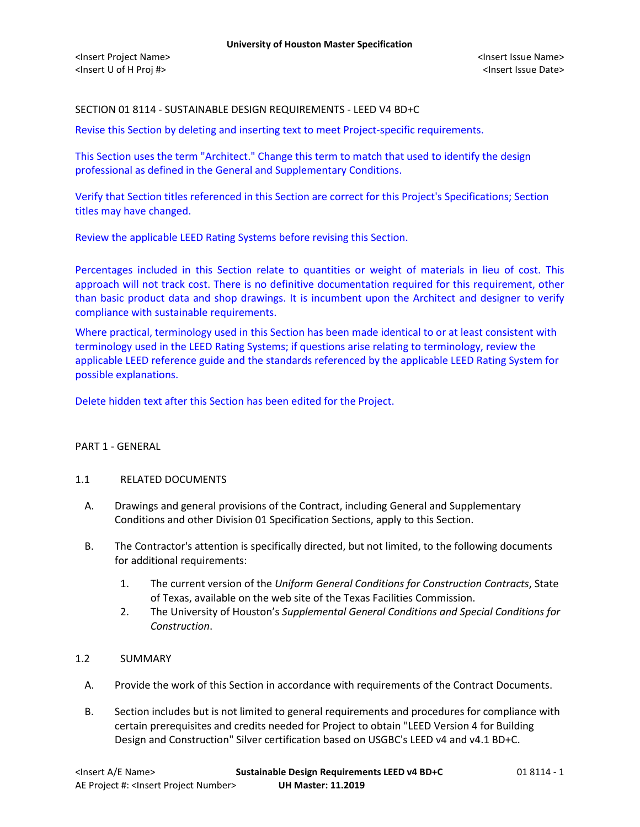# SECTION 01 8114 - SUSTAINABLE DESIGN REQUIREMENTS - LEED V4 BD+C

Revise this Section by deleting and inserting text to meet Project-specific requirements.

This Section uses the term "Architect." Change this term to match that used to identify the design professional as defined in the General and Supplementary Conditions.

Verify that Section titles referenced in this Section are correct for this Project's Specifications; Section titles may have changed.

Review the applicable LEED Rating Systems before revising this Section.

Percentages included in this Section relate to quantities or weight of materials in lieu of cost. This approach will not track cost. There is no definitive documentation required for this requirement, other than basic product data and shop drawings. It is incumbent upon the Architect and designer to verify compliance with sustainable requirements.

Where practical, terminology used in this Section has been made identical to or at least consistent with terminology used in the LEED Rating Systems; if questions arise relating to terminology, review the applicable LEED reference guide and the standards referenced by the applicable LEED Rating System for possible explanations.

Delete hidden text after this Section has been edited for the Project.

## PART 1 - GENERAL

## 1.1 RELATED DOCUMENTS

- A. Drawings and general provisions of the Contract, including General and Supplementary Conditions and other Division 01 Specification Sections, apply to this Section.
- B. The Contractor's attention is specifically directed, but not limited, to the following documents for additional requirements:
	- 1. The current version of the *Uniform General Conditions for Construction Contracts*, State of Texas, available on the web site of the Texas Facilities Commission.
	- 2. The University of Houston's *Supplemental General Conditions and Special Conditions for Construction*.

## 1.2 SUMMARY

- A. Provide the work of this Section in accordance with requirements of the Contract Documents.
- B. Section includes but is not limited to general requirements and procedures for compliance with certain prerequisites and credits needed for Project to obtain "LEED Version 4 for Building Design and Construction" Silver certification based on USGBC's LEED v4 and v4.1 BD+C.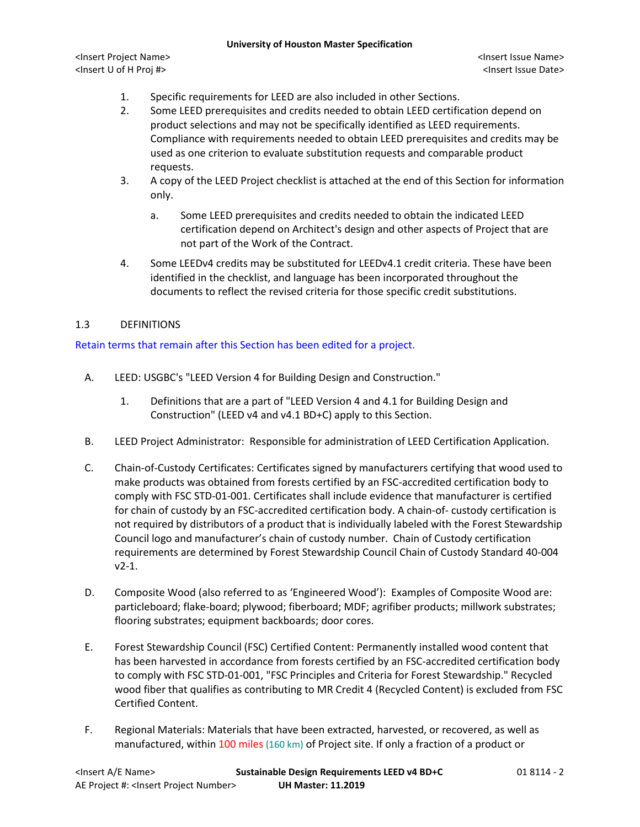#### **University of Houston Master Specification**

<Insert Project Name> <Insert Issue Name> <Insert U of H Proj #> <Insert Issue Date>

- 1. Specific requirements for LEED are also included in other Sections.
- 2. Some LEED prerequisites and credits needed to obtain LEED certification depend on product selections and may not be specifically identified as LEED requirements. Compliance with requirements needed to obtain LEED prerequisites and credits may be used as one criterion to evaluate substitution requests and comparable product requests.
- 3. A copy of the LEED Project checklist is attached at the end of this Section for information only.
	- a. Some LEED prerequisites and credits needed to obtain the indicated LEED certification depend on Architect's design and other aspects of Project that are not part of the Work of the Contract.
- 4. Some LEEDv4 credits may be substituted for LEEDv4.1 credit criteria. These have been identified in the checklist, and language has been incorporated throughout the documents to reflect the revised criteria for those specific credit substitutions.

# 1.3 DEFINITIONS

## Retain terms that remain after this Section has been edited for a project.

- A. LEED: USGBC's "LEED Version 4 for Building Design and Construction."
	- 1. Definitions that are a part of "LEED Version 4 and 4.1 for Building Design and Construction" (LEED v4 and v4.1 BD+C) apply to this Section.
- B. LEED Project Administrator: Responsible for administration of LEED Certification Application.
- C. Chain-of-Custody Certificates: Certificates signed by manufacturers certifying that wood used to make products was obtained from forests certified by an FSC-accredited certification body to comply with FSC STD-01-001. Certificates shall include evidence that manufacturer is certified for chain of custody by an FSC-accredited certification body. A chain-of- custody certification is not required by distributors of a product that is individually labeled with the Forest Stewardship Council logo and manufacturer's chain of custody number. Chain of Custody certification requirements are determined by Forest Stewardship Council Chain of Custody Standard 40-004 v2-1.
- D. Composite Wood (also referred to as 'Engineered Wood'): Examples of Composite Wood are: particleboard; flake-board; plywood; fiberboard; MDF; agrifiber products; millwork substrates; flooring substrates; equipment backboards; door cores.
- E. Forest Stewardship Council (FSC) Certified Content: Permanently installed wood content that has been harvested in accordance from forests certified by an FSC-accredited certification body to comply with FSC STD-01-001, "FSC Principles and Criteria for Forest Stewardship." Recycled wood fiber that qualifies as contributing to MR Credit 4 (Recycled Content) is excluded from FSC Certified Content.
- F. Regional Materials: Materials that have been extracted, harvested, or recovered, as well as manufactured, within 100 miles (160 km) of Project site. If only a fraction of a product or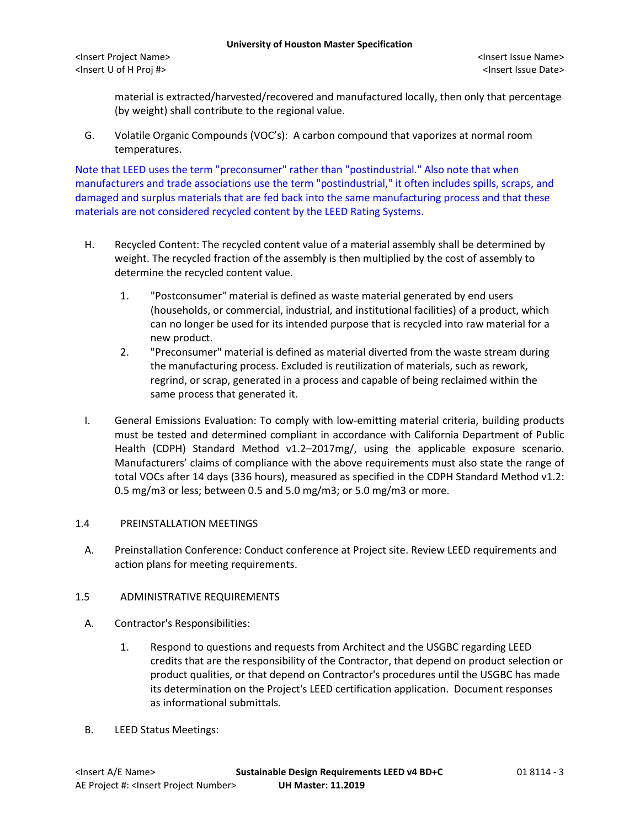material is extracted/harvested/recovered and manufactured locally, then only that percentage (by weight) shall contribute to the regional value.

G. Volatile Organic Compounds (VOC's): A carbon compound that vaporizes at normal room temperatures.

Note that LEED uses the term "preconsumer" rather than "postindustrial." Also note that when manufacturers and trade associations use the term "postindustrial," it often includes spills, scraps, and damaged and surplus materials that are fed back into the same manufacturing process and that these materials are not considered recycled content by the LEED Rating Systems.

- H. Recycled Content: The recycled content value of a material assembly shall be determined by weight. The recycled fraction of the assembly is then multiplied by the cost of assembly to determine the recycled content value.
	- 1. "Postconsumer" material is defined as waste material generated by end users (households, or commercial, industrial, and institutional facilities) of a product, which can no longer be used for its intended purpose that is recycled into raw material for a new product.
	- 2. "Preconsumer" material is defined as material diverted from the waste stream during the manufacturing process. Excluded is reutilization of materials, such as rework, regrind, or scrap, generated in a process and capable of being reclaimed within the same process that generated it.
- I. General Emissions Evaluation: To comply with low-emitting material criteria, building products must be tested and determined compliant in accordance with California Department of Public Health (CDPH) Standard Method v1.2–2017mg/, using the applicable exposure scenario. Manufacturers' claims of compliance with the above requirements must also state the range of total VOCs after 14 days (336 hours), measured as specified in the CDPH Standard Method v1.2: 0.5 mg/m3 or less; between 0.5 and 5.0 mg/m3; or 5.0 mg/m3 or more.

## 1.4 PREINSTALLATION MEETINGS

A. Preinstallation Conference: Conduct conference at Project site. Review LEED requirements and action plans for meeting requirements.

## 1.5 ADMINISTRATIVE REQUIREMENTS

- A. Contractor's Responsibilities:
	- 1. Respond to questions and requests from Architect and the USGBC regarding LEED credits that are the responsibility of the Contractor, that depend on product selection or product qualities, or that depend on Contractor's procedures until the USGBC has made its determination on the Project's LEED certification application. Document responses as informational submittals.
- B. LEED Status Meetings: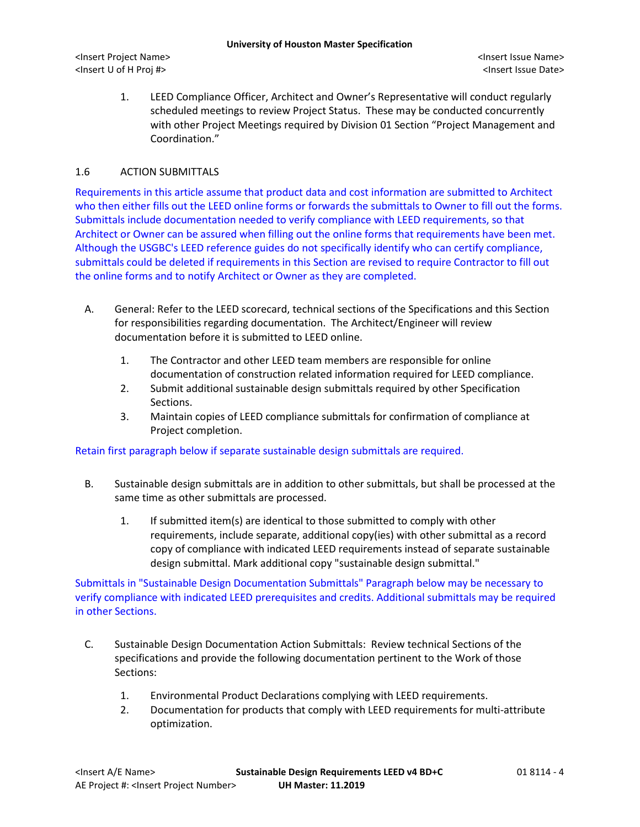1. LEED Compliance Officer, Architect and Owner's Representative will conduct regularly scheduled meetings to review Project Status. These may be conducted concurrently with other Project Meetings required by Division 01 Section "Project Management and Coordination."

## 1.6 ACTION SUBMITTALS

Requirements in this article assume that product data and cost information are submitted to Architect who then either fills out the LEED online forms or forwards the submittals to Owner to fill out the forms. Submittals include documentation needed to verify compliance with LEED requirements, so that Architect or Owner can be assured when filling out the online forms that requirements have been met. Although the USGBC's LEED reference guides do not specifically identify who can certify compliance, submittals could be deleted if requirements in this Section are revised to require Contractor to fill out the online forms and to notify Architect or Owner as they are completed.

- A. General: Refer to the LEED scorecard, technical sections of the Specifications and this Section for responsibilities regarding documentation. The Architect/Engineer will review documentation before it is submitted to LEED online.
	- 1. The Contractor and other LEED team members are responsible for online documentation of construction related information required for LEED compliance.
	- 2. Submit additional sustainable design submittals required by other Specification Sections.
	- 3. Maintain copies of LEED compliance submittals for confirmation of compliance at Project completion.

Retain first paragraph below if separate sustainable design submittals are required.

- B. Sustainable design submittals are in addition to other submittals, but shall be processed at the same time as other submittals are processed.
	- 1. If submitted item(s) are identical to those submitted to comply with other requirements, include separate, additional copy(ies) with other submittal as a record copy of compliance with indicated LEED requirements instead of separate sustainable design submittal. Mark additional copy "sustainable design submittal."

Submittals in "Sustainable Design Documentation Submittals" Paragraph below may be necessary to verify compliance with indicated LEED prerequisites and credits. Additional submittals may be required in other Sections.

- C. Sustainable Design Documentation Action Submittals: Review technical Sections of the specifications and provide the following documentation pertinent to the Work of those Sections:
	- 1. Environmental Product Declarations complying with LEED requirements.
	- 2. Documentation for products that comply with LEED requirements for multi-attribute optimization.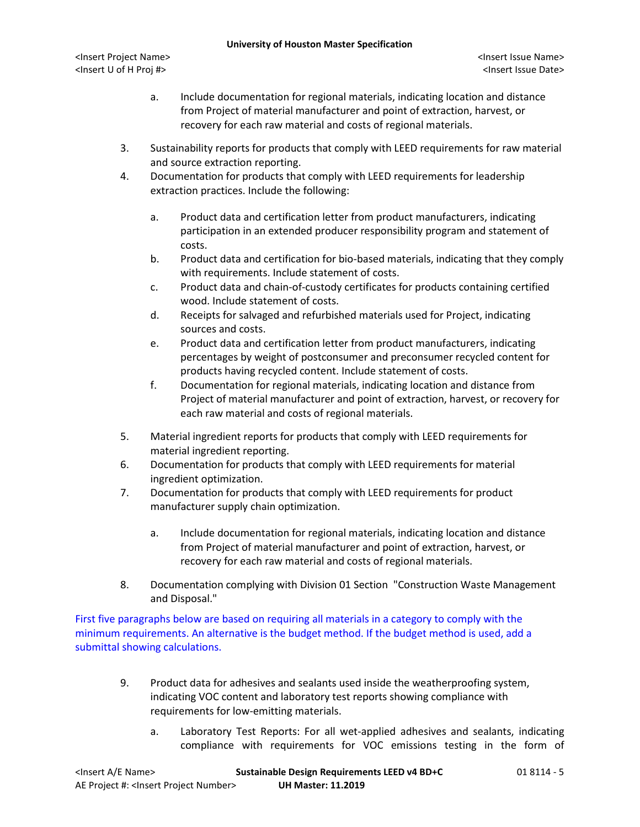#### **University of Houston Master Specification**

- a. Include documentation for regional materials, indicating location and distance from Project of material manufacturer and point of extraction, harvest, or recovery for each raw material and costs of regional materials.
- 3. Sustainability reports for products that comply with LEED requirements for raw material and source extraction reporting.
- 4. Documentation for products that comply with LEED requirements for leadership extraction practices. Include the following:
	- a. Product data and certification letter from product manufacturers, indicating participation in an extended producer responsibility program and statement of costs.
	- b. Product data and certification for bio-based materials, indicating that they comply with requirements. Include statement of costs.
	- c. Product data and chain-of-custody certificates for products containing certified wood. Include statement of costs.
	- d. Receipts for salvaged and refurbished materials used for Project, indicating sources and costs.
	- e. Product data and certification letter from product manufacturers, indicating percentages by weight of postconsumer and preconsumer recycled content for products having recycled content. Include statement of costs.
	- f. Documentation for regional materials, indicating location and distance from Project of material manufacturer and point of extraction, harvest, or recovery for each raw material and costs of regional materials.
- 5. Material ingredient reports for products that comply with LEED requirements for material ingredient reporting.
- 6. Documentation for products that comply with LEED requirements for material ingredient optimization.
- 7. Documentation for products that comply with LEED requirements for product manufacturer supply chain optimization.
	- a. Include documentation for regional materials, indicating location and distance from Project of material manufacturer and point of extraction, harvest, or recovery for each raw material and costs of regional materials.
- 8. Documentation complying with Division 01 Section "Construction Waste Management and Disposal."

First five paragraphs below are based on requiring all materials in a category to comply with the minimum requirements. An alternative is the budget method. If the budget method is used, add a submittal showing calculations.

- 9. Product data for adhesives and sealants used inside the weatherproofing system, indicating VOC content and laboratory test reports showing compliance with requirements for low-emitting materials.
	- a. Laboratory Test Reports: For all wet-applied adhesives and sealants, indicating compliance with requirements for VOC emissions testing in the form of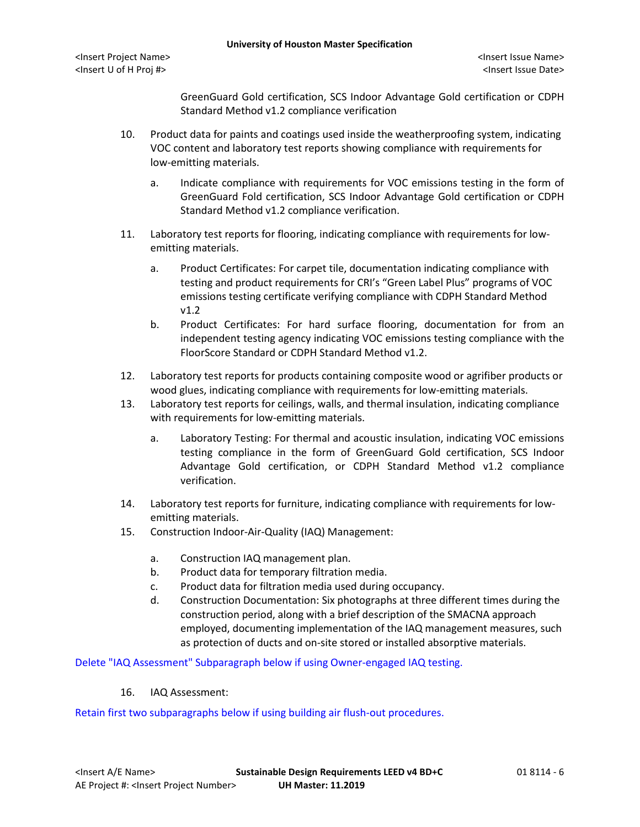GreenGuard Gold certification, SCS Indoor Advantage Gold certification or CDPH Standard Method v1.2 compliance verification

- 10. Product data for paints and coatings used inside the weatherproofing system, indicating VOC content and laboratory test reports showing compliance with requirements for low-emitting materials.
	- a. Indicate compliance with requirements for VOC emissions testing in the form of GreenGuard Fold certification, SCS Indoor Advantage Gold certification or CDPH Standard Method v1.2 compliance verification.
- 11. Laboratory test reports for flooring, indicating compliance with requirements for lowemitting materials.
	- a. Product Certificates: For carpet tile, documentation indicating compliance with testing and product requirements for CRI's "Green Label Plus" programs of VOC emissions testing certificate verifying compliance with CDPH Standard Method v1.2
	- b. Product Certificates: For hard surface flooring, documentation for from an independent testing agency indicating VOC emissions testing compliance with the FloorScore Standard or CDPH Standard Method v1.2.
- 12. Laboratory test reports for products containing composite wood or agrifiber products or wood glues, indicating compliance with requirements for low-emitting materials.
- 13. Laboratory test reports for ceilings, walls, and thermal insulation, indicating compliance with requirements for low-emitting materials.
	- a. Laboratory Testing: For thermal and acoustic insulation, indicating VOC emissions testing compliance in the form of GreenGuard Gold certification, SCS Indoor Advantage Gold certification, or CDPH Standard Method v1.2 compliance verification.
- 14. Laboratory test reports for furniture, indicating compliance with requirements for lowemitting materials.
- 15. Construction Indoor-Air-Quality (IAQ) Management:
	- a. Construction IAQ management plan.
	- b. Product data for temporary filtration media.
	- c. Product data for filtration media used during occupancy.
	- d. Construction Documentation: Six photographs at three different times during the construction period, along with a brief description of the SMACNA approach employed, documenting implementation of the IAQ management measures, such as protection of ducts and on-site stored or installed absorptive materials.

Delete "IAQ Assessment" Subparagraph below if using Owner-engaged IAQ testing.

16. IAQ Assessment:

Retain first two subparagraphs below if using building air flush-out procedures.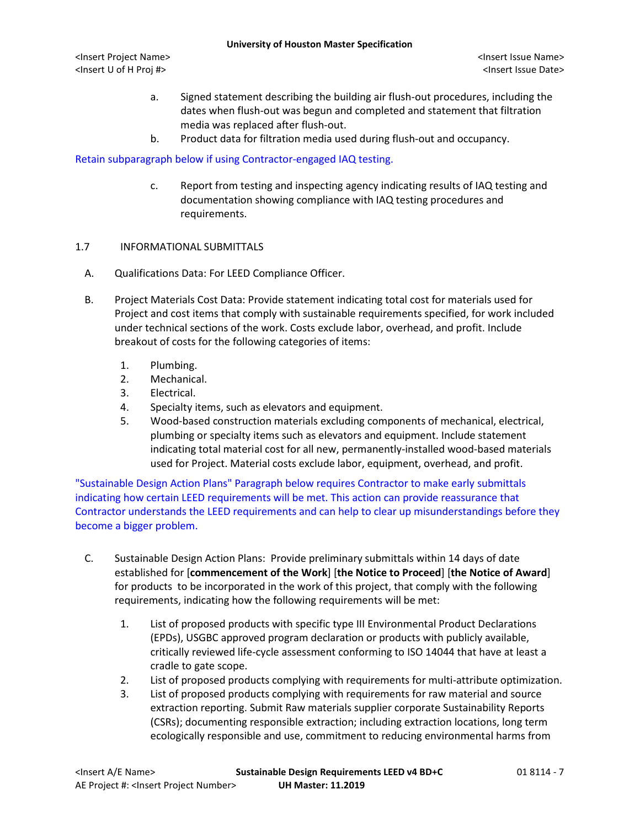- a. Signed statement describing the building air flush-out procedures, including the dates when flush-out was begun and completed and statement that filtration media was replaced after flush-out.
- b. Product data for filtration media used during flush-out and occupancy.

## Retain subparagraph below if using Contractor-engaged IAQ testing.

c. Report from testing and inspecting agency indicating results of IAQ testing and documentation showing compliance with IAQ testing procedures and requirements.

## 1.7 INFORMATIONAL SUBMITTALS

- A. Qualifications Data: For LEED Compliance Officer.
- B. Project Materials Cost Data: Provide statement indicating total cost for materials used for Project and cost items that comply with sustainable requirements specified, for work included under technical sections of the work. Costs exclude labor, overhead, and profit. Include breakout of costs for the following categories of items:
	- 1. Plumbing.
	- 2. Mechanical.
	- 3. Electrical.
	- 4. Specialty items, such as elevators and equipment.
	- 5. Wood-based construction materials excluding components of mechanical, electrical, plumbing or specialty items such as elevators and equipment. Include statement indicating total material cost for all new, permanently-installed wood-based materials used for Project. Material costs exclude labor, equipment, overhead, and profit.

"Sustainable Design Action Plans" Paragraph below requires Contractor to make early submittals indicating how certain LEED requirements will be met. This action can provide reassurance that Contractor understands the LEED requirements and can help to clear up misunderstandings before they become a bigger problem.

- C. Sustainable Design Action Plans: Provide preliminary submittals within 14 days of date established for [**commencement of the Work**] [**the Notice to Proceed**] [**the Notice of Award**] for products to be incorporated in the work of this project, that comply with the following requirements, indicating how the following requirements will be met:
	- 1. List of proposed products with specific type III Environmental Product Declarations (EPDs), USGBC approved program declaration or products with publicly available, critically reviewed life-cycle assessment conforming to ISO 14044 that have at least a cradle to gate scope.
	- 2. List of proposed products complying with requirements for multi-attribute optimization.
	- 3. List of proposed products complying with requirements for raw material and source extraction reporting. Submit Raw materials supplier corporate Sustainability Reports (CSRs); documenting responsible extraction; including extraction locations, long term ecologically responsible and use, commitment to reducing environmental harms from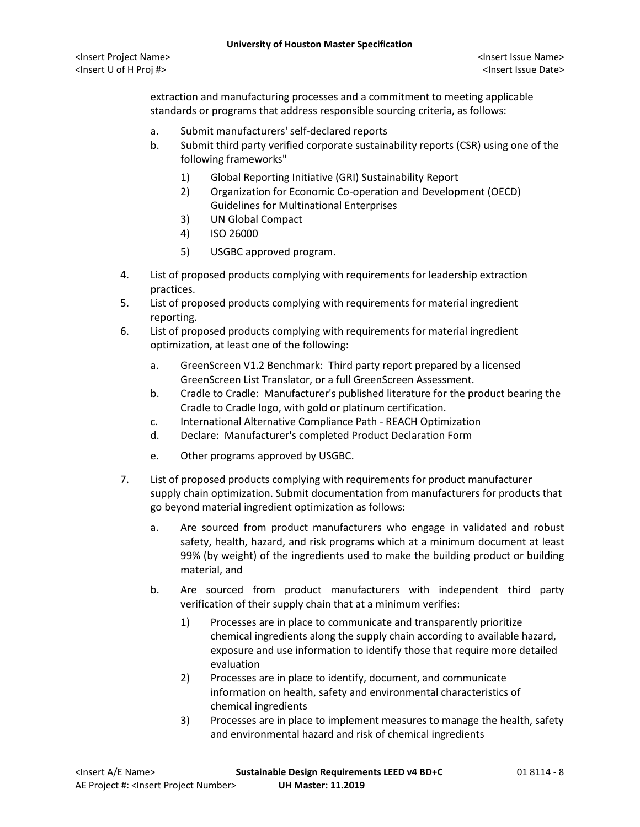extraction and manufacturing processes and a commitment to meeting applicable standards or programs that address responsible sourcing criteria, as follows:

- a. Submit manufacturers' self-declared reports
- b. Submit third party verified corporate sustainability reports (CSR) using one of the following frameworks"
	- 1) Global Reporting Initiative (GRI) Sustainability Report
	- 2) Organization for Economic Co-operation and Development (OECD) Guidelines for Multinational Enterprises
	- 3) UN Global Compact
	- 4) ISO 26000
	- 5) USGBC approved program.
- 4. List of proposed products complying with requirements for leadership extraction practices.
- 5. List of proposed products complying with requirements for material ingredient reporting.
- 6. List of proposed products complying with requirements for material ingredient optimization, at least one of the following:
	- a. GreenScreen V1.2 Benchmark: Third party report prepared by a licensed GreenScreen List Translator, or a full GreenScreen Assessment.
	- b. Cradle to Cradle: Manufacturer's published literature for the product bearing the Cradle to Cradle logo, with gold or platinum certification.
	- c. International Alternative Compliance Path REACH Optimization
	- d. Declare: Manufacturer's completed Product Declaration Form
	- e. Other programs approved by USGBC.
- 7. List of proposed products complying with requirements for product manufacturer supply chain optimization. Submit documentation from manufacturers for products that go beyond material ingredient optimization as follows:
	- a. Are sourced from product manufacturers who engage in validated and robust safety, health, hazard, and risk programs which at a minimum document at least 99% (by weight) of the ingredients used to make the building product or building material, and
	- b. Are sourced from product manufacturers with independent third party verification of their supply chain that at a minimum verifies:
		- 1) Processes are in place to communicate and transparently prioritize chemical ingredients along the supply chain according to available hazard, exposure and use information to identify those that require more detailed evaluation
		- 2) Processes are in place to identify, document, and communicate information on health, safety and environmental characteristics of chemical ingredients
		- 3) Processes are in place to implement measures to manage the health, safety and environmental hazard and risk of chemical ingredients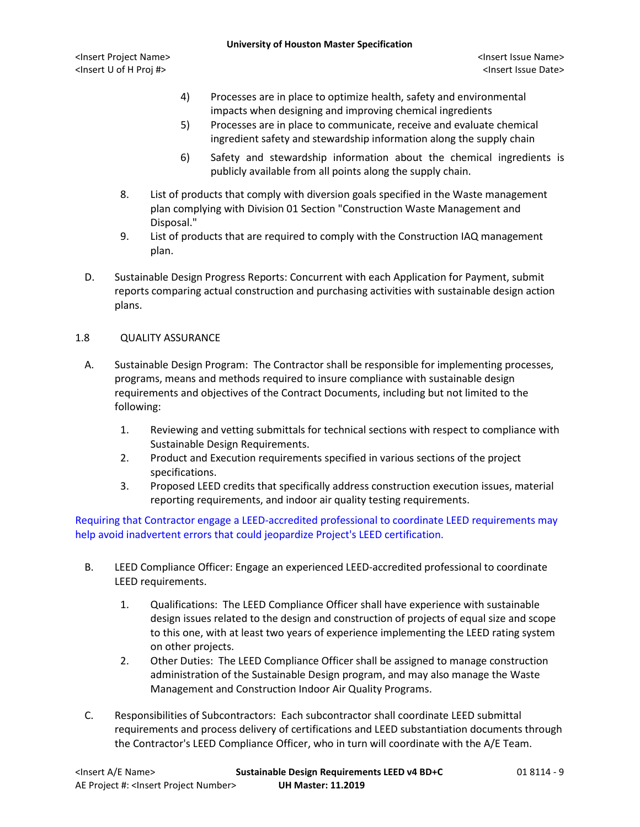- 4) Processes are in place to optimize health, safety and environmental impacts when designing and improving chemical ingredients
- 5) Processes are in place to communicate, receive and evaluate chemical ingredient safety and stewardship information along the supply chain
- 6) Safety and stewardship information about the chemical ingredients is publicly available from all points along the supply chain.
- 8. List of products that comply with diversion goals specified in the Waste management plan complying with Division 01 Section "Construction Waste Management and Disposal."
- 9. List of products that are required to comply with the Construction IAQ management plan.
- D. Sustainable Design Progress Reports: Concurrent with each Application for Payment, submit reports comparing actual construction and purchasing activities with sustainable design action plans.

## 1.8 QUALITY ASSURANCE

- A. Sustainable Design Program: The Contractor shall be responsible for implementing processes, programs, means and methods required to insure compliance with sustainable design requirements and objectives of the Contract Documents, including but not limited to the following:
	- 1. Reviewing and vetting submittals for technical sections with respect to compliance with Sustainable Design Requirements.
	- 2. Product and Execution requirements specified in various sections of the project specifications.
	- 3. Proposed LEED credits that specifically address construction execution issues, material reporting requirements, and indoor air quality testing requirements.

Requiring that Contractor engage a LEED-accredited professional to coordinate LEED requirements may help avoid inadvertent errors that could jeopardize Project's LEED certification.

- B. LEED Compliance Officer: Engage an experienced LEED-accredited professional to coordinate LEED requirements.
	- 1. Qualifications: The LEED Compliance Officer shall have experience with sustainable design issues related to the design and construction of projects of equal size and scope to this one, with at least two years of experience implementing the LEED rating system on other projects.
	- 2. Other Duties: The LEED Compliance Officer shall be assigned to manage construction administration of the Sustainable Design program, and may also manage the Waste Management and Construction Indoor Air Quality Programs.
- C. Responsibilities of Subcontractors: Each subcontractor shall coordinate LEED submittal requirements and process delivery of certifications and LEED substantiation documents through the Contractor's LEED Compliance Officer, who in turn will coordinate with the A/E Team.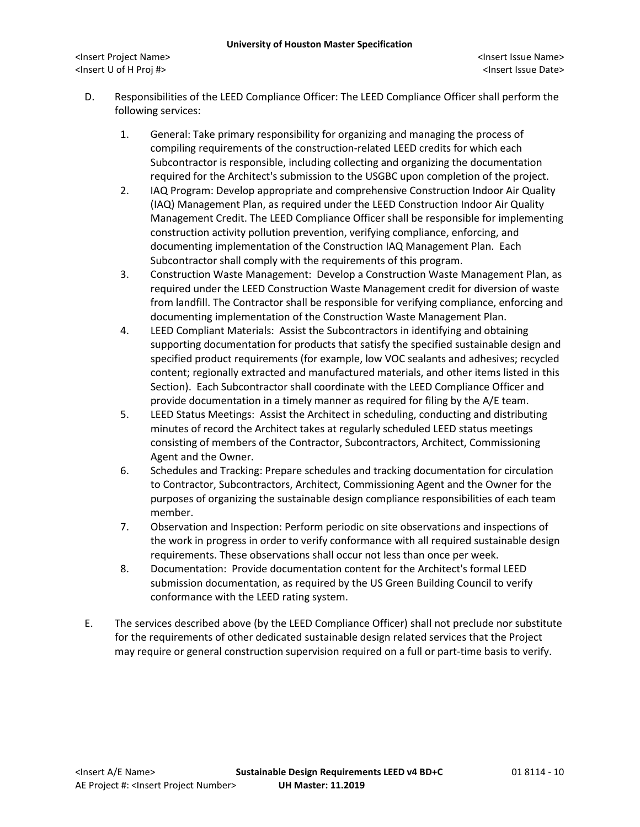- D. Responsibilities of the LEED Compliance Officer: The LEED Compliance Officer shall perform the following services:
	- 1. General: Take primary responsibility for organizing and managing the process of compiling requirements of the construction-related LEED credits for which each Subcontractor is responsible, including collecting and organizing the documentation required for the Architect's submission to the USGBC upon completion of the project.
	- 2. IAQ Program: Develop appropriate and comprehensive Construction Indoor Air Quality (IAQ) Management Plan, as required under the LEED Construction Indoor Air Quality Management Credit. The LEED Compliance Officer shall be responsible for implementing construction activity pollution prevention, verifying compliance, enforcing, and documenting implementation of the Construction IAQ Management Plan. Each Subcontractor shall comply with the requirements of this program.
	- 3. Construction Waste Management: Develop a Construction Waste Management Plan, as required under the LEED Construction Waste Management credit for diversion of waste from landfill. The Contractor shall be responsible for verifying compliance, enforcing and documenting implementation of the Construction Waste Management Plan.
	- 4. LEED Compliant Materials: Assist the Subcontractors in identifying and obtaining supporting documentation for products that satisfy the specified sustainable design and specified product requirements (for example, low VOC sealants and adhesives; recycled content; regionally extracted and manufactured materials, and other items listed in this Section). Each Subcontractor shall coordinate with the LEED Compliance Officer and provide documentation in a timely manner as required for filing by the A/E team.
	- 5. LEED Status Meetings: Assist the Architect in scheduling, conducting and distributing minutes of record the Architect takes at regularly scheduled LEED status meetings consisting of members of the Contractor, Subcontractors, Architect, Commissioning Agent and the Owner.
	- 6. Schedules and Tracking: Prepare schedules and tracking documentation for circulation to Contractor, Subcontractors, Architect, Commissioning Agent and the Owner for the purposes of organizing the sustainable design compliance responsibilities of each team member.
	- 7. Observation and Inspection: Perform periodic on site observations and inspections of the work in progress in order to verify conformance with all required sustainable design requirements. These observations shall occur not less than once per week.
	- 8. Documentation: Provide documentation content for the Architect's formal LEED submission documentation, as required by the US Green Building Council to verify conformance with the LEED rating system.
- E. The services described above (by the LEED Compliance Officer) shall not preclude nor substitute for the requirements of other dedicated sustainable design related services that the Project may require or general construction supervision required on a full or part-time basis to verify.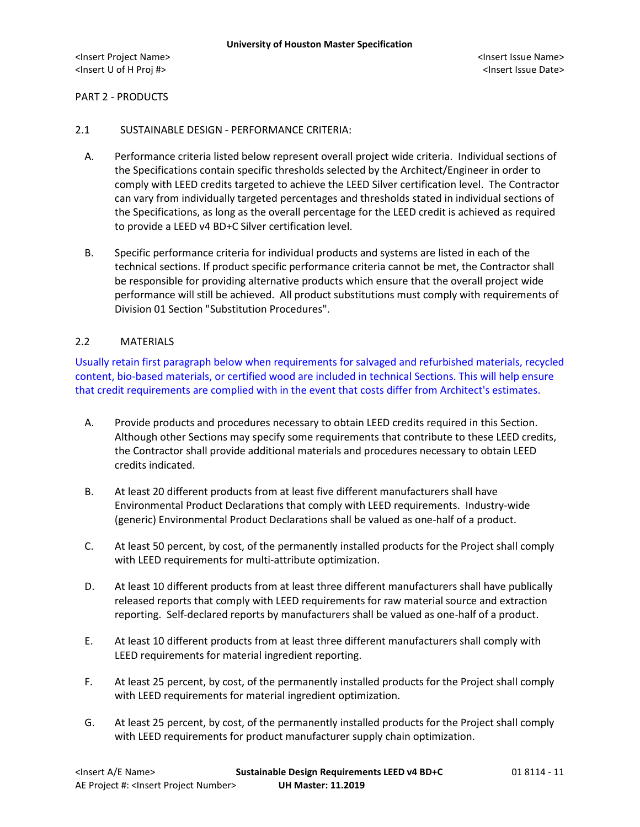#### PART 2 - PRODUCTS

#### 2.1 SUSTAINABLE DESIGN - PERFORMANCE CRITERIA:

- A. Performance criteria listed below represent overall project wide criteria. Individual sections of the Specifications contain specific thresholds selected by the Architect/Engineer in order to comply with LEED credits targeted to achieve the LEED Silver certification level. The Contractor can vary from individually targeted percentages and thresholds stated in individual sections of the Specifications, as long as the overall percentage for the LEED credit is achieved as required to provide a LEED v4 BD+C Silver certification level.
- B. Specific performance criteria for individual products and systems are listed in each of the technical sections. If product specific performance criteria cannot be met, the Contractor shall be responsible for providing alternative products which ensure that the overall project wide performance will still be achieved. All product substitutions must comply with requirements of Division 01 Section "Substitution Procedures".

## 2.2 MATERIALS

Usually retain first paragraph below when requirements for salvaged and refurbished materials, recycled content, bio-based materials, or certified wood are included in technical Sections. This will help ensure that credit requirements are complied with in the event that costs differ from Architect's estimates.

- A. Provide products and procedures necessary to obtain LEED credits required in this Section. Although other Sections may specify some requirements that contribute to these LEED credits, the Contractor shall provide additional materials and procedures necessary to obtain LEED credits indicated.
- B. At least 20 different products from at least five different manufacturers shall have Environmental Product Declarations that comply with LEED requirements. Industry-wide (generic) Environmental Product Declarations shall be valued as one-half of a product.
- C. At least 50 percent, by cost, of the permanently installed products for the Project shall comply with LEED requirements for multi-attribute optimization.
- D. At least 10 different products from at least three different manufacturers shall have publically released reports that comply with LEED requirements for raw material source and extraction reporting. Self-declared reports by manufacturers shall be valued as one-half of a product.
- E. At least 10 different products from at least three different manufacturers shall comply with LEED requirements for material ingredient reporting.
- F. At least 25 percent, by cost, of the permanently installed products for the Project shall comply with LEED requirements for material ingredient optimization.
- G. At least 25 percent, by cost, of the permanently installed products for the Project shall comply with LEED requirements for product manufacturer supply chain optimization.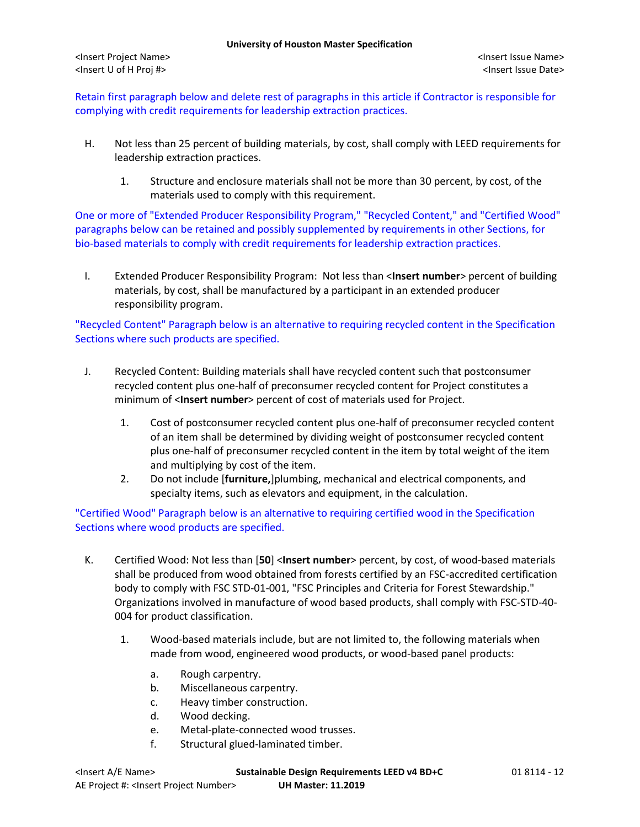Retain first paragraph below and delete rest of paragraphs in this article if Contractor is responsible for complying with credit requirements for leadership extraction practices.

- H. Not less than 25 percent of building materials, by cost, shall comply with LEED requirements for leadership extraction practices.
	- 1. Structure and enclosure materials shall not be more than 30 percent, by cost, of the materials used to comply with this requirement.

One or more of "Extended Producer Responsibility Program," "Recycled Content," and "Certified Wood" paragraphs below can be retained and possibly supplemented by requirements in other Sections, for bio-based materials to comply with credit requirements for leadership extraction practices.

I. Extended Producer Responsibility Program: Not less than <**Insert number**> percent of building materials, by cost, shall be manufactured by a participant in an extended producer responsibility program.

"Recycled Content" Paragraph below is an alternative to requiring recycled content in the Specification Sections where such products are specified.

- J. Recycled Content: Building materials shall have recycled content such that postconsumer recycled content plus one-half of preconsumer recycled content for Project constitutes a minimum of <**Insert number**> percent of cost of materials used for Project.
	- 1. Cost of postconsumer recycled content plus one-half of preconsumer recycled content of an item shall be determined by dividing weight of postconsumer recycled content plus one-half of preconsumer recycled content in the item by total weight of the item and multiplying by cost of the item.
	- 2. Do not include [**furniture,**]plumbing, mechanical and electrical components, and specialty items, such as elevators and equipment, in the calculation.

"Certified Wood" Paragraph below is an alternative to requiring certified wood in the Specification Sections where wood products are specified.

- K. Certified Wood: Not less than [**50**] <**Insert number**> percent, by cost, of wood-based materials shall be produced from wood obtained from forests certified by an FSC-accredited certification body to comply with FSC STD-01-001, "FSC Principles and Criteria for Forest Stewardship." Organizations involved in manufacture of wood based products, shall comply with FSC-STD-40- 004 for product classification.
	- 1. Wood-based materials include, but are not limited to, the following materials when made from wood, engineered wood products, or wood-based panel products:
		- a. Rough carpentry.
		- b. Miscellaneous carpentry.
		- c. Heavy timber construction.
		- d. Wood decking.
		- e. Metal-plate-connected wood trusses.
		- f. Structural glued-laminated timber.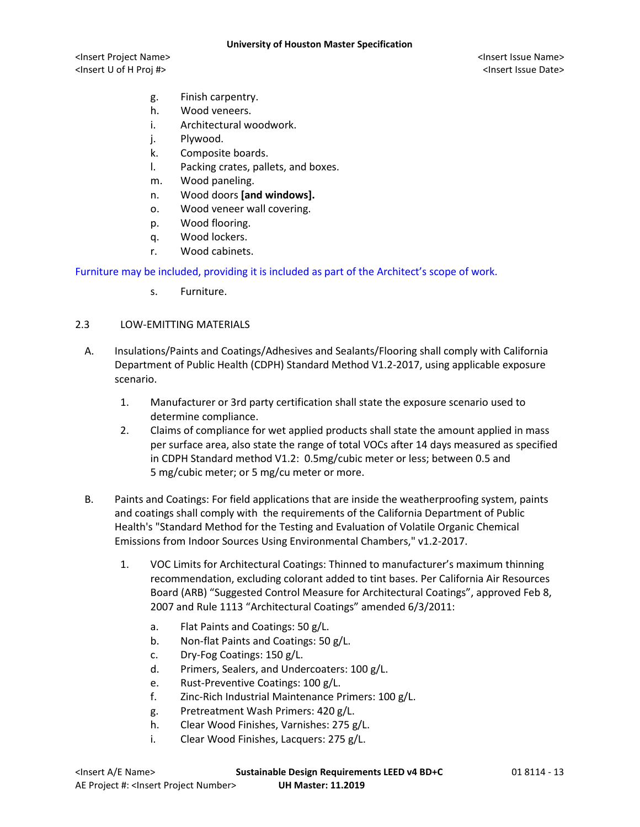- g. Finish carpentry.
- h. Wood veneers.
- i. Architectural woodwork.
- j. Plywood.
- k. Composite boards.
- l. Packing crates, pallets, and boxes.
- m. Wood paneling.
- n. Wood doors **[and windows].**
- o. Wood veneer wall covering.
- p. Wood flooring.
- q. Wood lockers.
- r. Wood cabinets.

Furniture may be included, providing it is included as part of the Architect's scope of work.

s. Furniture.

## 2.3 LOW-EMITTING MATERIALS

- A. Insulations/Paints and Coatings/Adhesives and Sealants/Flooring shall comply with California Department of Public Health (CDPH) Standard Method V1.2-2017, using applicable exposure scenario.
	- 1. Manufacturer or 3rd party certification shall state the exposure scenario used to determine compliance.
	- 2. Claims of compliance for wet applied products shall state the amount applied in mass per surface area, also state the range of total VOCs after 14 days measured as specified in CDPH Standard method V1.2: 0.5mg/cubic meter or less; between 0.5 and 5 mg/cubic meter; or 5 mg/cu meter or more.
- B. Paints and Coatings: For field applications that are inside the weatherproofing system, paints and coatings shall comply with the requirements of the California Department of Public Health's "Standard Method for the Testing and Evaluation of Volatile Organic Chemical Emissions from Indoor Sources Using Environmental Chambers," v1.2-2017.
	- 1. VOC Limits for Architectural Coatings: Thinned to manufacturer's maximum thinning recommendation, excluding colorant added to tint bases. Per California Air Resources Board (ARB) "Suggested Control Measure for Architectural Coatings", approved Feb 8, 2007 and Rule 1113 "Architectural Coatings" amended 6/3/2011:
		- a. Flat Paints and Coatings: 50 g/L.
		- b. Non-flat Paints and Coatings: 50 g/L.
		- c. Dry-Fog Coatings: 150 g/L.
		- d. Primers, Sealers, and Undercoaters: 100 g/L.
		- e. Rust-Preventive Coatings: 100 g/L.
		- f. Zinc-Rich Industrial Maintenance Primers: 100 g/L.
		- g. Pretreatment Wash Primers: 420 g/L.
		- h. Clear Wood Finishes, Varnishes: 275 g/L.
		- i. Clear Wood Finishes, Lacquers: 275 g/L.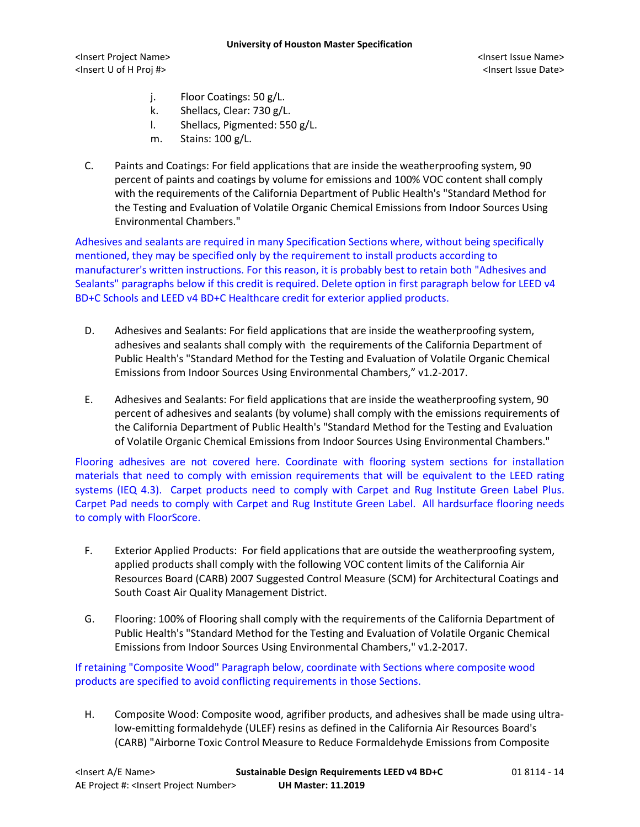- j. Floor Coatings: 50 g/L.
- k. Shellacs, Clear: 730 g/L.
- l. Shellacs, Pigmented: 550 g/L.
- m. Stains: 100 g/L.
- C. Paints and Coatings: For field applications that are inside the weatherproofing system, 90 percent of paints and coatings by volume for emissions and 100% VOC content shall comply with the requirements of the California Department of Public Health's "Standard Method for the Testing and Evaluation of Volatile Organic Chemical Emissions from Indoor Sources Using Environmental Chambers."

Adhesives and sealants are required in many Specification Sections where, without being specifically mentioned, they may be specified only by the requirement to install products according to manufacturer's written instructions. For this reason, it is probably best to retain both "Adhesives and Sealants" paragraphs below if this credit is required. Delete option in first paragraph below for LEED v4 BD+C Schools and LEED v4 BD+C Healthcare credit for exterior applied products.

- D. Adhesives and Sealants: For field applications that are inside the weatherproofing system, adhesives and sealants shall comply with the requirements of the California Department of Public Health's "Standard Method for the Testing and Evaluation of Volatile Organic Chemical Emissions from Indoor Sources Using Environmental Chambers," v1.2-2017.
- E. Adhesives and Sealants: For field applications that are inside the weatherproofing system, 90 percent of adhesives and sealants (by volume) shall comply with the emissions requirements of the California Department of Public Health's "Standard Method for the Testing and Evaluation of Volatile Organic Chemical Emissions from Indoor Sources Using Environmental Chambers."

Flooring adhesives are not covered here. Coordinate with flooring system sections for installation materials that need to comply with emission requirements that will be equivalent to the LEED rating systems (IEQ 4.3). Carpet products need to comply with Carpet and Rug Institute Green Label Plus. Carpet Pad needs to comply with Carpet and Rug Institute Green Label. All hardsurface flooring needs to comply with FloorScore.

- F. Exterior Applied Products: For field applications that are outside the weatherproofing system, applied products shall comply with the following VOC content limits of the California Air Resources Board (CARB) 2007 Suggested Control Measure (SCM) for Architectural Coatings and South Coast Air Quality Management District.
- G. Flooring: 100% of Flooring shall comply with the requirements of the California Department of Public Health's "Standard Method for the Testing and Evaluation of Volatile Organic Chemical Emissions from Indoor Sources Using Environmental Chambers," v1.2-2017.

If retaining "Composite Wood" Paragraph below, coordinate with Sections where composite wood products are specified to avoid conflicting requirements in those Sections.

H. Composite Wood: Composite wood, agrifiber products, and adhesives shall be made using ultralow-emitting formaldehyde (ULEF) resins as defined in the California Air Resources Board's (CARB) "Airborne Toxic Control Measure to Reduce Formaldehyde Emissions from Composite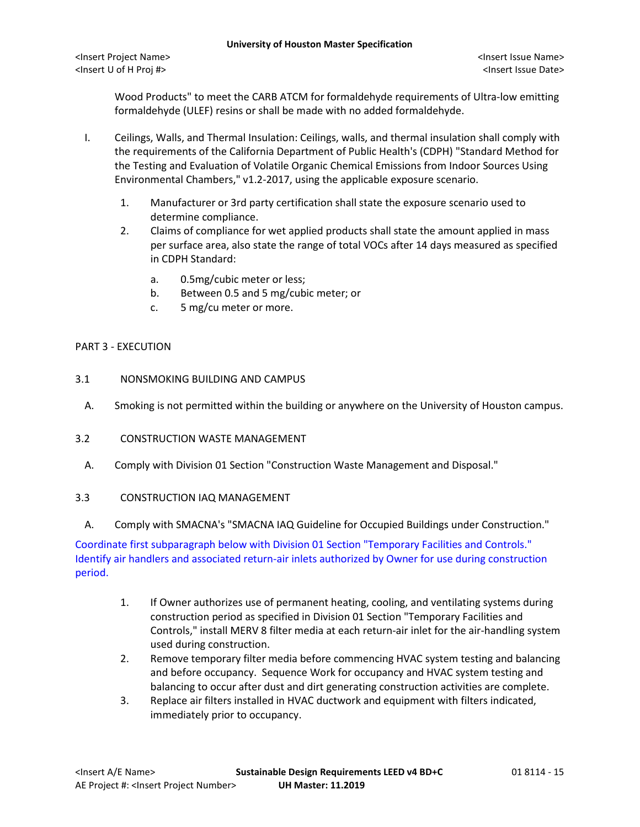Wood Products" to meet the CARB ATCM for formaldehyde requirements of Ultra-low emitting formaldehyde (ULEF) resins or shall be made with no added formaldehyde.

- I. Ceilings, Walls, and Thermal Insulation: Ceilings, walls, and thermal insulation shall comply with the requirements of the California Department of Public Health's (CDPH) "Standard Method for the Testing and Evaluation of Volatile Organic Chemical Emissions from Indoor Sources Using Environmental Chambers," v1.2-2017, using the applicable exposure scenario.
	- 1. Manufacturer or 3rd party certification shall state the exposure scenario used to determine compliance.
	- 2. Claims of compliance for wet applied products shall state the amount applied in mass per surface area, also state the range of total VOCs after 14 days measured as specified in CDPH Standard:
		- a. 0.5mg/cubic meter or less;
		- b. Between 0.5 and 5 mg/cubic meter; or
		- c. 5 mg/cu meter or more.

## PART 3 - EXECUTION

- 3.1 NONSMOKING BUILDING AND CAMPUS
- A. Smoking is not permitted within the building or anywhere on the University of Houston campus.
- 3.2 CONSTRUCTION WASTE MANAGEMENT
	- A. Comply with Division 01 Section "Construction Waste Management and Disposal."
- 3.3 CONSTRUCTION IAQ MANAGEMENT
	- A. Comply with SMACNA's "SMACNA IAQ Guideline for Occupied Buildings under Construction."

Coordinate first subparagraph below with Division 01 Section "Temporary Facilities and Controls." Identify air handlers and associated return-air inlets authorized by Owner for use during construction period.

- 1. If Owner authorizes use of permanent heating, cooling, and ventilating systems during construction period as specified in Division 01 Section "Temporary Facilities and Controls," install MERV 8 filter media at each return-air inlet for the air-handling system used during construction.
- 2. Remove temporary filter media before commencing HVAC system testing and balancing and before occupancy. Sequence Work for occupancy and HVAC system testing and balancing to occur after dust and dirt generating construction activities are complete.
- 3. Replace air filters installed in HVAC ductwork and equipment with filters indicated, immediately prior to occupancy.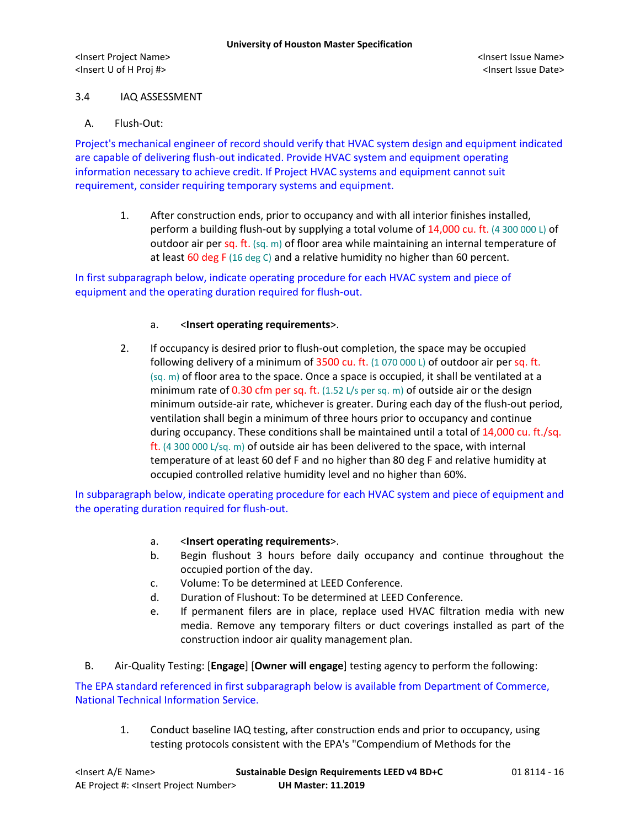## 3.4 IAQ ASSESSMENT

## A. Flush-Out:

Project's mechanical engineer of record should verify that HVAC system design and equipment indicated are capable of delivering flush-out indicated. Provide HVAC system and equipment operating information necessary to achieve credit. If Project HVAC systems and equipment cannot suit requirement, consider requiring temporary systems and equipment.

1. After construction ends, prior to occupancy and with all interior finishes installed, perform a building flush-out by supplying a total volume of 14,000 cu. ft. (4 300 000 L) of outdoor air per sq. ft.  $(sq, m)$  of floor area while maintaining an internal temperature of at least 60 deg F (16 deg C) and a relative humidity no higher than 60 percent.

# In first subparagraph below, indicate operating procedure for each HVAC system and piece of equipment and the operating duration required for flush-out.

## a. <**Insert operating requirements**>.

2. If occupancy is desired prior to flush-out completion, the space may be occupied following delivery of a minimum of 3500 cu. ft.  $(1 070 000 L)$  of outdoor air per sq. ft. (sq. m) of floor area to the space. Once a space is occupied, it shall be ventilated at a minimum rate of 0.30 cfm per sq. ft. (1.52 L/s per sq. m) of outside air or the design minimum outside-air rate, whichever is greater. During each day of the flush-out period, ventilation shall begin a minimum of three hours prior to occupancy and continue during occupancy. These conditions shall be maintained until a total of 14,000 cu. ft./sq. ft. (4 300 000 L/sq. m) of outside air has been delivered to the space, with internal temperature of at least 60 def F and no higher than 80 deg F and relative humidity at occupied controlled relative humidity level and no higher than 60%.

In subparagraph below, indicate operating procedure for each HVAC system and piece of equipment and the operating duration required for flush-out.

- a. <**Insert operating requirements**>.
- b. Begin flushout 3 hours before daily occupancy and continue throughout the occupied portion of the day.
- c. Volume: To be determined at LEED Conference.
- d. Duration of Flushout: To be determined at LEED Conference.
- e. If permanent filers are in place, replace used HVAC filtration media with new media. Remove any temporary filters or duct coverings installed as part of the construction indoor air quality management plan.
- B. Air-Quality Testing: [**Engage**] [**Owner will engage**] testing agency to perform the following:

The EPA standard referenced in first subparagraph below is available from Department of Commerce, National Technical Information Service.

1. Conduct baseline IAQ testing, after construction ends and prior to occupancy, using testing protocols consistent with the EPA's "Compendium of Methods for the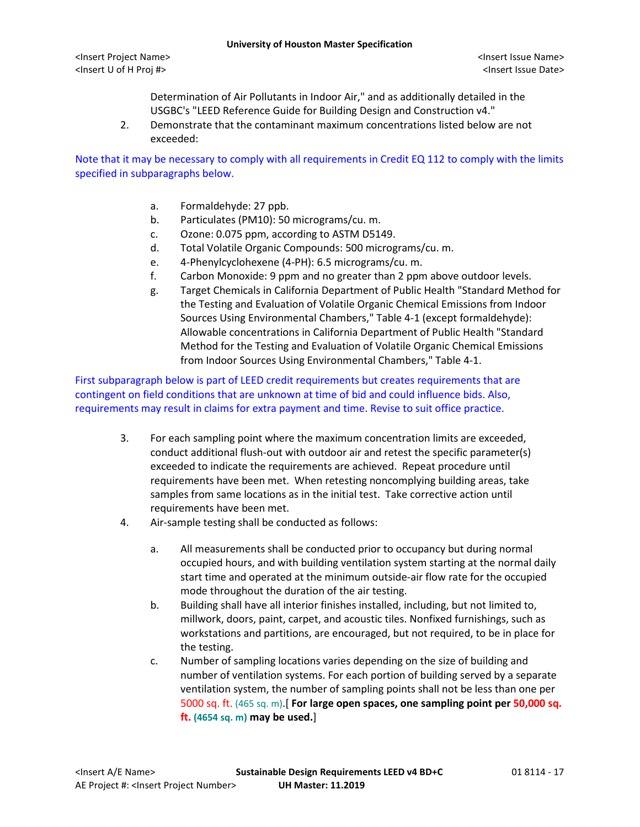#### **University of Houston Master Specification**

<Insert Project Name> <Insert Issue Name> <Insert U of H Proj #> <Insert Issue Date>

Determination of Air Pollutants in Indoor Air," and as additionally detailed in the USGBC's "LEED Reference Guide for Building Design and Construction v4."

2. Demonstrate that the contaminant maximum concentrations listed below are not exceeded:

Note that it may be necessary to comply with all requirements in Credit EQ 112 to comply with the limits specified in subparagraphs below.

- a. Formaldehyde: 27 ppb.
- b. Particulates (PM10): 50 micrograms/cu. m.
- c. Ozone: 0.075 ppm, according to ASTM D5149.
- d. Total Volatile Organic Compounds: 500 micrograms/cu. m.
- e. 4-Phenylcyclohexene (4-PH): 6.5 micrograms/cu. m.
- f. Carbon Monoxide: 9 ppm and no greater than 2 ppm above outdoor levels.
- g. Target Chemicals in California Department of Public Health "Standard Method for the Testing and Evaluation of Volatile Organic Chemical Emissions from Indoor Sources Using Environmental Chambers," Table 4-1 (except formaldehyde): Allowable concentrations in California Department of Public Health "Standard Method for the Testing and Evaluation of Volatile Organic Chemical Emissions from Indoor Sources Using Environmental Chambers," Table 4-1.

First subparagraph below is part of LEED credit requirements but creates requirements that are contingent on field conditions that are unknown at time of bid and could influence bids. Also, requirements may result in claims for extra payment and time. Revise to suit office practice.

- 3. For each sampling point where the maximum concentration limits are exceeded, conduct additional flush-out with outdoor air and retest the specific parameter(s) exceeded to indicate the requirements are achieved. Repeat procedure until requirements have been met. When retesting noncomplying building areas, take samples from same locations as in the initial test. Take corrective action until requirements have been met.
- 4. Air-sample testing shall be conducted as follows:
	- a. All measurements shall be conducted prior to occupancy but during normal occupied hours, and with building ventilation system starting at the normal daily start time and operated at the minimum outside-air flow rate for the occupied mode throughout the duration of the air testing.
	- b. Building shall have all interior finishes installed, including, but not limited to, millwork, doors, paint, carpet, and acoustic tiles. Nonfixed furnishings, such as workstations and partitions, are encouraged, but not required, to be in place for the testing.
	- c. Number of sampling locations varies depending on the size of building and number of ventilation systems. For each portion of building served by a separate ventilation system, the number of sampling points shall not be less than one per 5000 sq. ft. (465 sq. m).[ **For large open spaces, one sampling point per 50,000 sq. ft. (4654 sq. m) may be used.**]